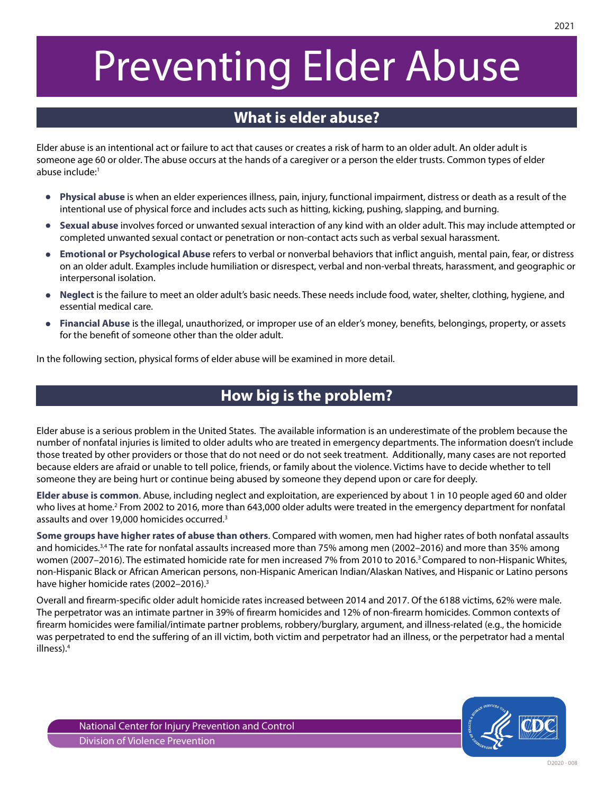# Preventing Elder Abuse

# **What is elder abuse?**

Elder abuse is an intentional act or failure to act that causes or creates a risk of harm to an older adult. An older adult is someone age 60 or older. The abuse occurs at the hands of a caregiver or a person the elder trusts. Common types of elder abuse include:<sup>1</sup>

- $\bullet$ **Physical abuse** is when an elder experiences illness, pain, injury, functional impairment, distress or death as a result of the intentional use of physical force and includes acts such as hitting, kicking, pushing, slapping, and burning.
- **Sexual abuse** involves forced or unwanted sexual interaction of any kind with an older adult. This may include attempted or  $\bullet$ completed unwanted sexual contact or penetration or non-contact acts such as verbal sexual harassment.
- $\bullet$ **Emotional or Psychological Abuse** refers to verbal or nonverbal behaviors that inflict anguish, mental pain, fear, or distress on an older adult. Examples include humiliation or disrespect, verbal and non-verbal threats, harassment, and geographic or interpersonal isolation.
- **Neglect** is the failure to meet an older adult's basic needs. These needs include food, water, shelter, clothing, hygiene, and  $\bullet$ essential medical care.
- **Financial Abuse** is the illegal, unauthorized, or improper use of an elder's money, benefits, belongings, property, or assets for the benefit of someone other than the older adult.

In the following section, physical forms of elder abuse will be examined in more detail.

## **How big is the problem?**

Elder abuse is a serious problem in the United States. The available information is an underestimate of the problem because the number of nonfatal injuries is limited to older adults who are treated in emergency departments. The information doesn't include those treated by other providers or those that do not need or do not seek treatment. Additionally, many cases are not reported because elders are afraid or unable to tell police, friends, or family about the violence. Victims have to decide whether to tell someone they are being hurt or continue being abused by someone they depend upon or care for deeply.

**Elder abuse is common**. Abuse, including neglect and exploitation, are experienced by about 1 in 10 people aged 60 and older who lives at home.<sup>2</sup> From 2002 to 2016, more than 643,000 older adults were treated in the emergency department for nonfatal assaults and over 19,000 homicides occurred.<sup>3</sup>

**Some groups have higher rates of abuse than others**. Compared with women, men had higher rates of both nonfatal assaults and homicides.<sup>3,4</sup> The rate for nonfatal assaults increased more than 75% among men (2002–2016) and more than 35% among women (2007–2016). The estimated homicide rate for men increased 7% from 2010 to 2016.<sup>3</sup> Compared to non-Hispanic Whites, non-Hispanic Black or African American persons, non-Hispanic American Indian/Alaskan Natives, and Hispanic or Latino persons have higher homicide rates (2002-2016).<sup>3</sup>

Overall and firearm-specific older adult homicide rates increased between 2014 and 2017. Of the 6188 victims, 62% were male. The perpetrator was an intimate partner in 39% of firearm homicides and 12% of non-firearm homicides. Common contexts of firearm homicides were familial/intimate partner problems, robbery/burglary, argument, and illness-related (e.g., the homicide was perpetrated to end the suffering of an ill victim, both victim and perpetrator had an illness, or the perpetrator had a mental illness).<sup>4</sup>

D2020 - 008